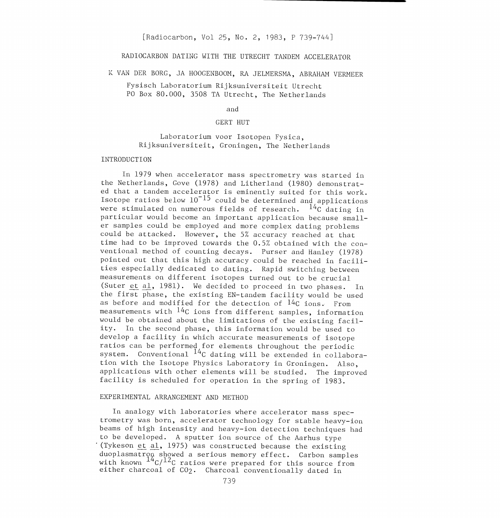## [Radiocarbon, Vol 25, No. 2, 1983, P 739-744]

# RADIOCARBON DATING WITH THE UTRECHT TANDEM ACCELERATOR

K VAN DER BORG, JA HOOGENBOOM, RA JELMERSMA, ABRAHAM VERMEER

Fysisch Laboratorium Rijksuniversiteit Utrecht PO Box 80.000, 3508 TA Utrecht, The Netherlands

#### and

### GERT HUT

# Laboratorium voor Isotopen Fysica, Rijksuniversiteit, Groningen, The. Netherlands

#### INTRODUCTION

In 1979 when accelerator mass spectrometry was started in the Netherlands, Gove (1978) and Litherland (1980) demonstrated that a tandem accelerator is eminently suited for this work. Isotope ratios below  $10^{-15}$  could be determined and applications were stimulated on numerous fields of research.  $^{14}C$  dating in particular would become an important application because smaller samples could be employed and more complex dating problems could be attacked. However, the 5% accuracy reached at that time had to be improved towards the 0.5% obtained with the con ventional method of counting decays. Purser and Hanley (1978) pointed out that this high accuracy could be reached in facilities especially dedicated to dating. Rapid switching between measurements on different isotopes turned out to be crucial (Suter et al, 1981). We decided to proceed in two phases. In the first phase, the existing EN-tandem facility would be used as before and modified for the detection of  $14C$  ions. From measurements with  $14C$  ions from different samples, information would be obtained about the limitations of the existing facility. In the second phase, this information would be used to develop a facility in which accurate measurements of isotope ratios can be performed for elements throughout the periodic system. Conventional <sup>14</sup>C dating will be extended in collaboration with the Isotope Physics Laboratory in Groningen. Also, applications with other elements will be studied. The improved facility is scheduled for operation in the spring of 1983.

### EXPERIMENTAL ARRANGEMENT AND METHOD

In analogy with laboratories where accelerator mass spectrometry was born, accelerator technology for stable heavy-ion beams of high intensity and heavy-ion detection techniques had to be developed. A sputter ion source of the Aarhus type (Tykeson et al, 1975) was constructed because the existing duoplasmatron showed a serious memory effect. Carbon samples with known  $14 \text{ C}/12 \text{ C}$  ratios were prepared for this source from either charcoal of C02. Charcoal conventionally dated in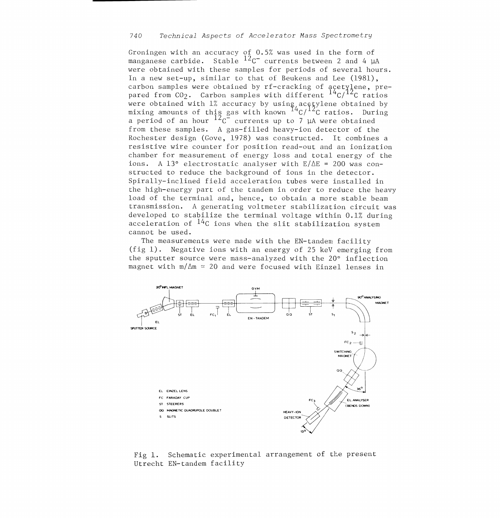Groningen with an accuracy of 0.5% was used in the form of manganese carbide. Stable  $12c$ <sup>-</sup> currents between 2 and 4  $\mu$ A were obtained with these samples for periods of several hours. In a new set-up, similar to that of Beukens and Lee (1981), carbon samples were obtained by rf-cracking of acetylene, prepared from CO<sub>2</sub>. Carbon samples with different  $14C/T^2C$  ratios were obtained with 1% accuracy by using acetylene obtained by mixing amounts of this gas with known  $14 \text{°C}/12$  ratios. During a period of an hour  $^{12}C$  currents up to 7 µA were obtained from these samples. A gas-filled heavy-ion detector of the Rochester design (Cove, 1978) was constructed. It combines a resistive wire counter for position read-out and an ionization chamber for measurement of energy loss and total energy of the ions. A 13° electrostatic analyser with  $E/\Delta E = 200$  was constructed to reduce the background of ions in the detector. Spirally-inclined field acceleration tubes were installed in the high-energy part of the tandem in order to reduce the heavy load of the terminal and, hence, to obtain a more stable beam transmission. A generating voltmeter stabilization circuit was developed to stabilize the terminal voltage within 0.1% during acceleration of  $14C$  ions when the slit stabilization system cannot be used.

The measurements were made with the EN-tandem facility (fig 1). Negative ions with an energy of 25 keU emerging from the sputter source were mass-analyzed with the 20° inflection magnet with  $m/\Delta m \approx 20$  and were focused with Einzel lenses in



Fig 1. Schematic experimental arrangement of the present Utrecht EN-tandem facility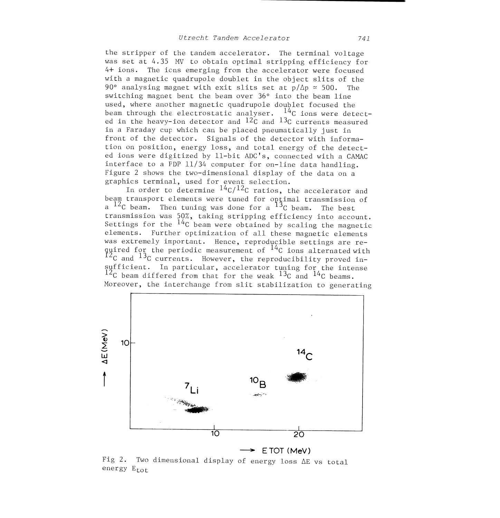the stripper of the tandem accelerator. The terminal voltage was set at 4.35 MV to obtain optimal stripping efficiency for 4+ ions. The ions emerging from the accelerator were focused with a magnetic quadrupole doublet in the object slits of the 90° analysing magnet with exit slits set at  $p/\Delta p \approx 500$ . The switching magnet bent the beam over 36° into the beam line used, where another magnetic quadrupole doublet focused the beam through the electrostatic analyser.  $14<sup>C</sup>$  ions were detected in the heavy-ion detector and  $12<sub>C</sub>$  and  $13<sub>C</sub>$  currents measured in a Faraday cup which can be placed pneumatically just in front of the detector. Signals of the detector with information on position, energy loss, and total energy of the detected ions were digitized by 11-bit ADC's, connected with a CAMAC interface to a PDP 11/34 computer for on-line data handling. Figure 2 shows the two-dimensional display of the data on a graphics terminal, used for event selection.

In order to determine  $14C/12C$  ratios, the accelerator and beam transport elements were tuned for optimal transmission of a  $^{12}$ C beam. Then tuning was done for a  $^{13}$ C beam. The best transmission was 50%, taking stripping efficiency into account. Settings for the  $14c$  beam were obtained by scaling the magnetic elements. Further optimization of all these magnetic elements was extremely important. Hence, reproducible settings are required for the periodic measurement of  $^{14}$ C ions alternated with I2<sub>C</sub> and <sup>13</sup><sub>C</sub> currents. However, the reproducibility proved insufficient. In particular, accelerator tuning for the intense  $12c$  beam differed from that for the weak  $13c$  and  $14c$  beams. Moreover, the interchange from slit stabilization to generating



Fig 2. Two dimensional display of energy loss AE vs total energy  $E_{tot}$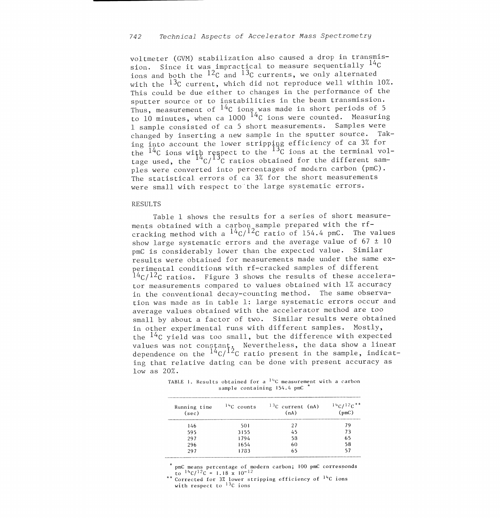voltmeter (GVM) stabilization also caused a drop in transmission. Since it was impractical to measure sequentially  $^{14}C$ ions and both the  $12<sub>C</sub>$  and  $13<sub>C</sub>$  currents, we only alternated with the  $^{13}$ C current, which did not reproduce well within 10%. This could be due either to changes in the performance of the sputter source or to instabilities in the beam transmission. Thus, measurement of  $14<sup>C</sup>$  ions was made in short periods of 5 to 10 minutes, when ca 1000  $^{14}$ C ions were counted. Measuring <sup>1</sup>sample consisted of ca 5 short measurements. Samples were changed by inserting a new sample in the sputter source. Taking into account the lower stripping efficiency of ca 3% for the  $14<sub>C</sub>$  ions with respect to the  $13<sub>C</sub>$  ions at the terminal voltage used, the  $^{14}C/^{13}C$  ratios obtained for the different samples were converted into percentages of modern carbon (pmC). The statistical errors of ca 3% for the short measurements were small with respect to the large systematic errors.

### RESULTS

Table 1 shows the results for a series of short measurements obtained with a carbon sample prepared with the rfcracking method with a  $\frac{14}{(12)^{12}C}$  ratio of 154.4 pmC. The values show large systematic errors and the average value of  $67 \pm 10$ pmC is considerably lower than the expected value. Similar results were obtained for measurements made under the same ex perimental conditions with rf-cracked samples of different  $14C/12C$  ratios. Figure 3 shows the results of these accelerator measurements compared to values obtained with 1% accuracy in the conventional decay-counting method. The same observation was made as in table 1: large systematic errors occur and average values obtained with the accelerator method are too small by about a factor of two. Similar results were obtained in other experimental runs with different samples. Mostly, the  $^{14}$ C yield was too small, but the difference with expected values was not constant. Nevertheless, the data show a linear dependence on the  $^{14}$ C/ $^{12}$ C ratio present in the sample, indicat ing that relative dating can be done with present accuracy as low as 20%.

TABLE 1. Results obtained for a  $^{14}$ C measurement with a carbon sample containing 154.4 pmC \*

| Running time<br>(sec) | $14C$ counts | $13C$ current (nA)<br>(nA) | $14C/12C**$<br>(pmc) |
|-----------------------|--------------|----------------------------|----------------------|
| 146                   | 501          | 27                         | 79                   |
| 595                   | 3155         | 45                         | 73                   |
| 297                   | 1794         | 58                         | 65                   |
| 296                   | 1654         | 60                         | 58                   |
| 297                   | 1733         | 65                         | 57                   |

pmC means percentage of modern carbon; 100 pmC corresponds<br>to  $1^4C/I^2C = 1.18 \times 10^{-12}$ 

\*\* Corrected for  $3\overline{z}$  lower stripping efficiency of  $14C$  ions with respect to  $13C$  ions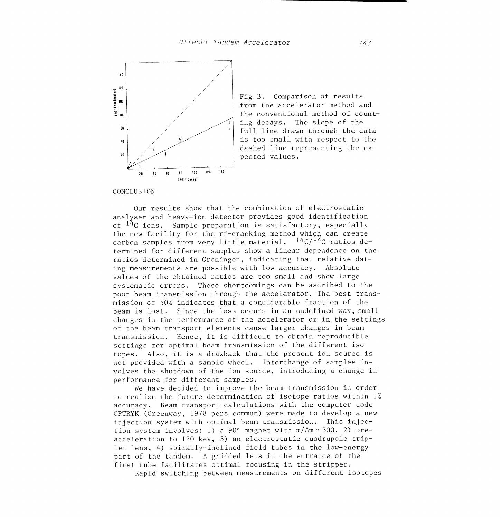

Fig 3. Comparison of results from the accelerator method and the conventional method of counting decays. The slope of the full line drawn through the data is too small with respect to the dashed line representing the ex pected values.

CONCLUSION

Our results show that the combination of electrostatic analyser and heavy-ion detector provides good identification of  $^{14}$ C ions. Sample preparation is satisfactory, especially the new facility for the rf-cracking method which can create carbon samples from very little material.  $14C/I^2C$  ratios determined for different samples show a linear dependence on the ratios determined in Groningen, indicating that relative dating measurements are possible with low accuracy. Absolute values of the obtained ratios are too small and show large systematic errors. These shortcomings can be ascribed to the poor beam transmission through the accelerator. The best transmission of 50% indicates that a considerable fraction of the beam is lost. Since the loss occurs in an undefined way, small changes in the performance of the accelerator or in the settings of the beam transport elements cause larger changes in beam transmission. Hence, it is difficult to obtain reproducible settings for optimal beam transmission of the different isotopes. Also, it is a drawback that the present ion source is not provided with a sample wheel. Interchange of samples involves the shutdown of the ion source, introducing a change in performance for different samples.

We have decided to improve the beam transmission in order to realize the future determination of isotope ratios within 1% accuracy. Beam transport calculations with the computer code OPTRYK (Greenway, 1978 pers commun) were made to develop a new injection system with optimal beam transmission. This injection system involves: 1) a 90° magnet with  $m/\Delta m \approx 300$ , 2) preacceleration to 120 keV, 3) an electrostatic quadrupole triplet lens, 4) spirally-inclined field tubes in the low-energy part of the tandem. A gridded lens in the entrance of the first tube facilitates optimal focusing in the stripper.

Rapid switching between measurements on different isotopes